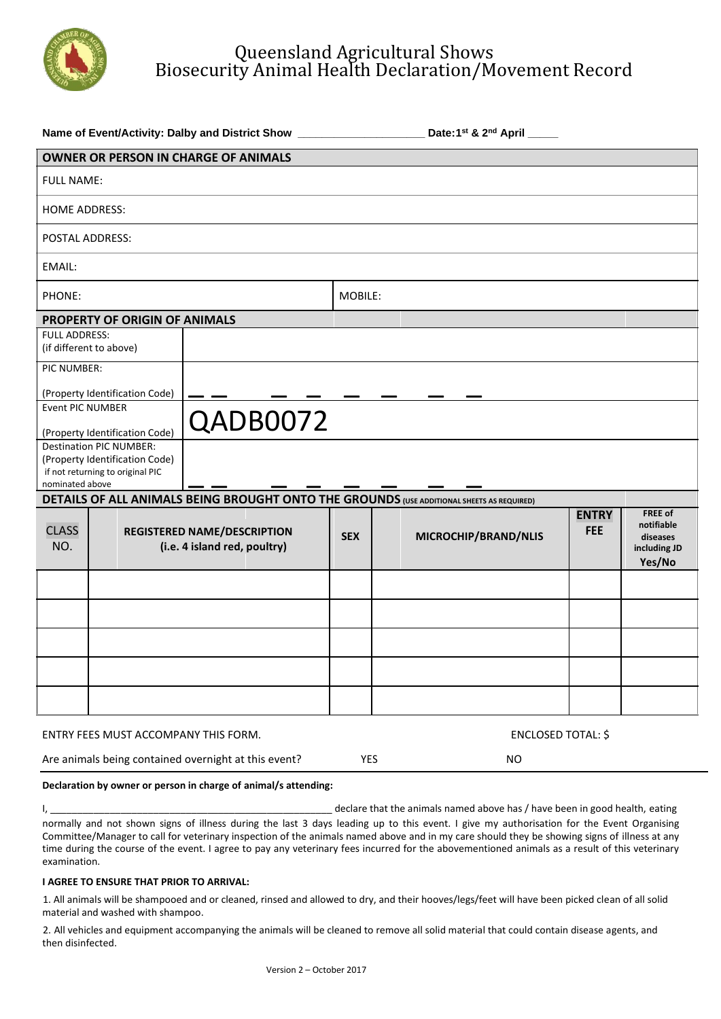

## Queensland Agricultural Shows Biosecurity Animal Health Declaration/Movement Record

| Name of Event/Activity: Dalby and District Show ________________________________ |                                                                    |                                                                                           |            | Date:1st & 2nd April ____ |                           |                            |                                                             |  |  |  |
|----------------------------------------------------------------------------------|--------------------------------------------------------------------|-------------------------------------------------------------------------------------------|------------|---------------------------|---------------------------|----------------------------|-------------------------------------------------------------|--|--|--|
| <b>OWNER OR PERSON IN CHARGE OF ANIMALS</b>                                      |                                                                    |                                                                                           |            |                           |                           |                            |                                                             |  |  |  |
| <b>FULL NAME:</b>                                                                |                                                                    |                                                                                           |            |                           |                           |                            |                                                             |  |  |  |
| <b>HOME ADDRESS:</b>                                                             |                                                                    |                                                                                           |            |                           |                           |                            |                                                             |  |  |  |
| <b>POSTAL ADDRESS:</b>                                                           |                                                                    |                                                                                           |            |                           |                           |                            |                                                             |  |  |  |
| <b>EMAIL:</b>                                                                    |                                                                    |                                                                                           |            |                           |                           |                            |                                                             |  |  |  |
| PHONE:                                                                           |                                                                    |                                                                                           | MOBILE:    |                           |                           |                            |                                                             |  |  |  |
|                                                                                  | PROPERTY OF ORIGIN OF ANIMALS                                      |                                                                                           |            |                           |                           |                            |                                                             |  |  |  |
| <b>FULL ADDRESS:</b>                                                             |                                                                    |                                                                                           |            |                           |                           |                            |                                                             |  |  |  |
|                                                                                  | (if different to above)                                            |                                                                                           |            |                           |                           |                            |                                                             |  |  |  |
| PIC NUMBER:                                                                      |                                                                    |                                                                                           |            |                           |                           |                            |                                                             |  |  |  |
|                                                                                  | (Property Identification Code)                                     |                                                                                           |            |                           |                           |                            |                                                             |  |  |  |
| Event PIC NUMBER                                                                 |                                                                    |                                                                                           |            |                           |                           |                            |                                                             |  |  |  |
|                                                                                  | (Property Identification Code)                                     | QADB0072                                                                                  |            |                           |                           |                            |                                                             |  |  |  |
| <b>Destination PIC NUMBER:</b>                                                   |                                                                    |                                                                                           |            |                           |                           |                            |                                                             |  |  |  |
| (Property Identification Code)                                                   |                                                                    |                                                                                           |            |                           |                           |                            |                                                             |  |  |  |
| nominated above                                                                  | if not returning to original PIC                                   |                                                                                           |            |                           |                           |                            |                                                             |  |  |  |
|                                                                                  |                                                                    | DETAILS OF ALL ANIMALS BEING BROUGHT ONTO THE GROUNDS (USE ADDITIONAL SHEETS AS REQUIRED) |            |                           |                           |                            |                                                             |  |  |  |
| <b>CLASS</b><br>NO.                                                              | <b>REGISTERED NAME/DESCRIPTION</b><br>(i.e. 4 island red, poultry) |                                                                                           | <b>SEX</b> |                           | MICROCHIP/BRAND/NLIS      | <b>ENTRY</b><br><b>FEE</b> | FREE of<br>notifiable<br>diseases<br>including JD<br>Yes/No |  |  |  |
|                                                                                  |                                                                    |                                                                                           |            |                           |                           |                            |                                                             |  |  |  |
|                                                                                  |                                                                    |                                                                                           |            |                           |                           |                            |                                                             |  |  |  |
|                                                                                  |                                                                    |                                                                                           |            |                           |                           |                            |                                                             |  |  |  |
|                                                                                  |                                                                    |                                                                                           |            |                           |                           |                            |                                                             |  |  |  |
|                                                                                  |                                                                    |                                                                                           |            |                           |                           |                            |                                                             |  |  |  |
| ENTRY FEES MUST ACCOMPANY THIS FORM.                                             |                                                                    |                                                                                           |            |                           | <b>ENCLOSED TOTAL: \$</b> |                            |                                                             |  |  |  |
| Are animals being contained overnight at this event?                             |                                                                    |                                                                                           |            |                           |                           |                            |                                                             |  |  |  |
|                                                                                  |                                                                    |                                                                                           | <b>YES</b> |                           | <b>NO</b>                 |                            |                                                             |  |  |  |

#### **Declaration by owner or person in charge of animal/s attending:**

I, \_\_\_\_\_\_\_\_\_\_\_\_\_\_\_\_\_\_\_\_\_\_\_\_\_\_\_\_\_\_\_\_\_\_\_\_\_\_\_\_\_\_\_\_\_\_\_\_\_\_\_\_ declare that the animals named above has / have been in good health, eating normally and not shown signs of illness during the last 3 days leading up to this event. I give my authorisation for the Event Organising Committee/Manager to call for veterinary inspection of the animals named above and in my care should they be showing signs of illness at any time during the course of the event. I agree to pay any veterinary fees incurred for the abovementioned animals as a result of this veterinary examination.

#### **I AGREE TO ENSURE THAT PRIOR TO ARRIVAL:**

1. All animals will be shampooed and or cleaned, rinsed and allowed to dry, and their hooves/legs/feet will have been picked clean of all solid material and washed with shampoo.

2. All vehicles and equipment accompanying the animals will be cleaned to remove all solid material that could contain disease agents, and then disinfected.